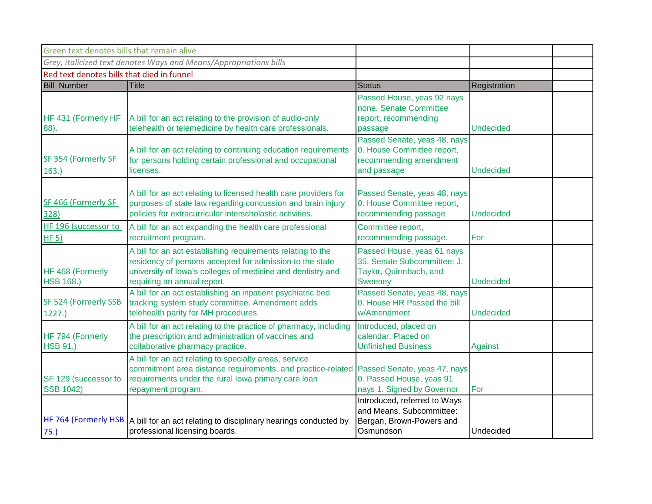| Green text denotes bills that remain alive |                                                                                                                                                                                                                       |                                                                                                       |                  |  |
|--------------------------------------------|-----------------------------------------------------------------------------------------------------------------------------------------------------------------------------------------------------------------------|-------------------------------------------------------------------------------------------------------|------------------|--|
|                                            | Grey, italicized text denotes Ways and Means/Appropriations bills                                                                                                                                                     |                                                                                                       |                  |  |
| Red text denotes bills that died in funnel |                                                                                                                                                                                                                       |                                                                                                       |                  |  |
| <b>Bill Number</b>                         | <b>Title</b>                                                                                                                                                                                                          | <b>Status</b>                                                                                         | Registration     |  |
| HF 431 (Formerly HF<br>88).                | A bill for an act relating to the provision of audio-only<br>telehealth or telemedicine by health care professionals.                                                                                                 | Passed House, yeas 92 nays<br>none. Senate Committee<br>report, recommending<br>passage               | <b>Undecided</b> |  |
| SF 354 (Formerly SF<br>163.                | A bill for an act relating to continuing education requirements<br>for persons holding certain professional and occupational<br>licenses.                                                                             | Passed Senate, yeas 48, nays<br>0. House Committee report,<br>recommending amendment<br>and passage   | <b>Undecided</b> |  |
| SF 466 (Formerly SF<br>328)                | A bill for an act relating to licensed health care providers for<br>purposes of state law regarding concussion and brain injury<br>policies for extracurricular interscholastic activities.                           | Passed Senate, yeas 48, nays<br>0. House Committee report,<br>recommending passage                    | <b>Undecided</b> |  |
| HF 196 (successor to<br>HF <sub>5</sub>    | A bill for an act expanding the health care professional<br>recruitment program.                                                                                                                                      | Committee report,<br>recommending passage.                                                            | For              |  |
| HF 468 (Formerly<br><b>HSB 168.)</b>       | A bill for an act establishing requirements relating to the<br>residency of persons accepted for admission to the state<br>university of lowa's colleges of medicine and dentistry and<br>requiring an annual report. | Passed House, yeas 61 nays<br>35. Senate Subcommittee: J.<br>Taylor, Quirmbach, and<br><b>Sweeney</b> | <b>Undecided</b> |  |
| SF 524 (Formerly SSB<br>1227.              | A bill for an act establishing an inpatient psychiatric bed<br>tracking system study committee. Amendment adds<br>telehealth parity for MH procedures                                                                 | Passed Senate, yeas 48, nays<br>0. House HR Passed the bill<br>w/Amendment                            | <b>Undecided</b> |  |
| HF 794 (Formerly<br><b>HSB 91.)</b>        | A bill for an act relating to the practice of pharmacy, including<br>the prescription and administration of vaccines and<br>collaborative pharmacy practice.                                                          | Introduced, placed on<br>calendar. Placed on<br><b>Unfinished Business</b>                            | <b>Against</b>   |  |
| SF 129 (successor to<br><b>SSB 1042)</b>   | A bill for an act relating to specialty areas, service<br>commitment area distance requirements, and practice-related<br>requirements under the rural lowa primary care loan<br>repayment program.                    | Passed Senate, yeas 47, nays<br>0. Passed House, yeas 91<br>nays 1. Signed by Governor                | For              |  |
| 75.)                                       | HF 764 (Formerly HSB A bill for an act relating to disciplinary hearings conducted by<br>professional licensing boards.                                                                                               | Introduced, referred to Ways<br>and Means. Subcommittee:<br>Bergan, Brown-Powers and<br>Osmundson     | Undecided        |  |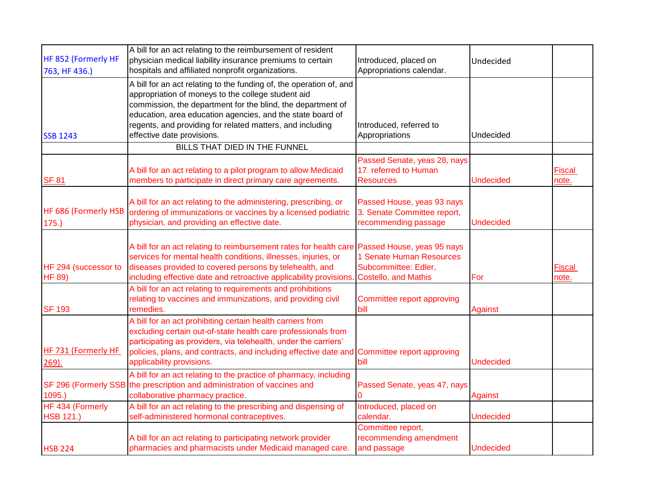|                                       | A bill for an act relating to the reimbursement of resident                                                                                                                                                                                                                                                                                       |                                                                                   |                  |                        |
|---------------------------------------|---------------------------------------------------------------------------------------------------------------------------------------------------------------------------------------------------------------------------------------------------------------------------------------------------------------------------------------------------|-----------------------------------------------------------------------------------|------------------|------------------------|
| HF 852 (Formerly HF                   | physician medical liability insurance premiums to certain                                                                                                                                                                                                                                                                                         | Introduced, placed on                                                             | Undecided        |                        |
| 763, HF 436.)                         | hospitals and affiliated nonprofit organizations.                                                                                                                                                                                                                                                                                                 | Appropriations calendar.                                                          |                  |                        |
| <b>SSB 1243</b>                       | A bill for an act relating to the funding of, the operation of, and<br>appropriation of moneys to the college student aid<br>commission, the department for the blind, the department of<br>education, area education agencies, and the state board of<br>regents, and providing for related matters, and including<br>effective date provisions. | Introduced, referred to<br>Appropriations                                         | Undecided        |                        |
|                                       | BILLS THAT DIED IN THE FUNNEL                                                                                                                                                                                                                                                                                                                     |                                                                                   |                  |                        |
| <b>SF 81</b>                          | A bill for an act relating to a pilot program to allow Medicaid<br>members to participate in direct primary care agreements.                                                                                                                                                                                                                      | Passed Senate, yeas 28, nays<br>17. referred to Human<br><b>Resources</b>         | <b>Undecided</b> | <b>Fiscal</b><br>note. |
| HF 686 (Formerly HSB<br>175.          | A bill for an act relating to the administering, prescribing, or<br>ordering of immunizations or vaccines by a licensed podiatric<br>physician, and providing an effective date.                                                                                                                                                                  | Passed House, yeas 93 nays<br>3. Senate Committee report,<br>recommending passage | <b>Undecided</b> |                        |
| HF 294 (successor to<br><b>HF 89)</b> | A bill for an act relating to reimbursement rates for health care Passed House, yeas 95 nays<br>services for mental health conditions, illnesses, injuries, or<br>diseases provided to covered persons by telehealth, and<br>including effective date and retroactive applicability provisions                                                    | 1 Senate Human Resources<br>Subcommittee: Edler,<br><b>Costello, and Mathis</b>   | For              | <b>Fiscal</b><br>note. |
| <b>SF 193</b>                         | A bill for an act relating to requirements and prohibitions<br>relating to vaccines and immunizations, and providing civil<br>remedies.                                                                                                                                                                                                           | Committee report approving<br>bill                                                | <b>Against</b>   |                        |
| HF 731 (Formerly HF<br>$269$ ).       | A bill for an act prohibiting certain health carriers from<br>excluding certain out-of-state health care professionals from<br>participating as providers, via telehealth, under the carriers'<br>policies, plans, and contracts, and including effective date and Committee report approving<br>applicability provisions.                        | bill                                                                              | <b>Undecided</b> |                        |
| 1095.                                 | A bill for an act relating to the practice of pharmacy, including<br>SF 296 (Formerly SSB the prescription and administration of vaccines and<br>collaborative pharmacy practice.                                                                                                                                                                 | Passed Senate, yeas 47, nays                                                      | Against          |                        |
| HF 434 (Formerly<br><b>HSB 121.)</b>  | A bill for an act relating to the prescribing and dispensing of<br>self-administered hormonal contraceptives.                                                                                                                                                                                                                                     | Introduced, placed on<br>calendar.                                                | <b>Undecided</b> |                        |
| <b>HSB 224</b>                        | A bill for an act relating to participating network provider<br>pharmacies and pharmacists under Medicaid managed care.                                                                                                                                                                                                                           | Committee report,<br>recommending amendment<br>and passage                        | <b>Undecided</b> |                        |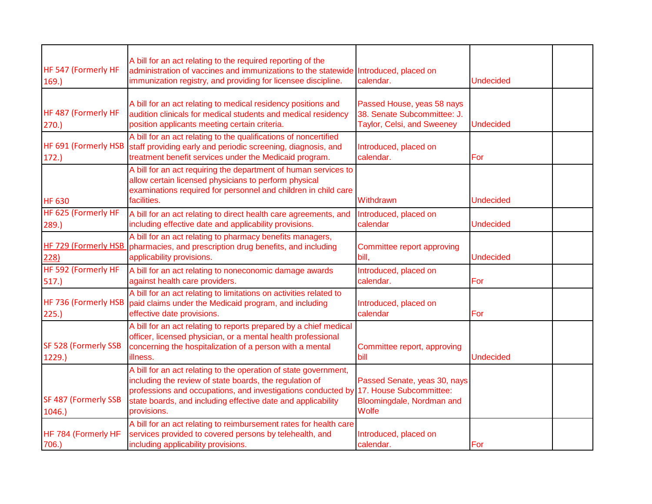|                                | A bill for an act relating to the required reporting of the                                                                                                                                                                                                                |                                                                                                      |                  |  |
|--------------------------------|----------------------------------------------------------------------------------------------------------------------------------------------------------------------------------------------------------------------------------------------------------------------------|------------------------------------------------------------------------------------------------------|------------------|--|
| HF 547 (Formerly HF<br>169.    | administration of vaccines and immunizations to the statewide Introduced, placed on<br>immunization registry, and providing for licensee discipline.                                                                                                                       | calendar.                                                                                            | <b>Undecided</b> |  |
| HF 487 (Formerly HF<br>270.    | A bill for an act relating to medical residency positions and<br>audition clinicals for medical students and medical residency<br>position applicants meeting certain criteria.                                                                                            | Passed House, yeas 58 nays<br>38. Senate Subcommittee: J.<br>Taylor, Celsi, and Sweeney              | Undecided        |  |
| HF 691 (Formerly HSB<br>172.   | A bill for an act relating to the qualifications of noncertified<br>staff providing early and periodic screening, diagnosis, and<br>treatment benefit services under the Medicaid program.                                                                                 | Introduced, placed on<br>calendar.                                                                   | For              |  |
| <b>HF 630</b>                  | A bill for an act requiring the department of human services to<br>allow certain licensed physicians to perform physical<br>examinations required for personnel and children in child care<br>facilities.                                                                  | Withdrawn                                                                                            | <b>Undecided</b> |  |
| HF 625 (Formerly HF<br>289.    | A bill for an act relating to direct health care agreements, and<br>including effective date and applicability provisions.                                                                                                                                                 | Introduced, placed on<br>calendar                                                                    | <b>Undecided</b> |  |
| HF 729 (Formerly HSB<br>228)   | A bill for an act relating to pharmacy benefits managers,<br>pharmacies, and prescription drug benefits, and including<br>applicability provisions.                                                                                                                        | Committee report approving<br>bill.                                                                  | <b>Undecided</b> |  |
| HF 592 (Formerly HF<br>517.    | A bill for an act relating to noneconomic damage awards<br>against health care providers.                                                                                                                                                                                  | Introduced, placed on<br>calendar.                                                                   | For              |  |
| HF 736 (Formerly HSB<br>225.   | A bill for an act relating to limitations on activities related to<br>paid claims under the Medicaid program, and including<br>effective date provisions.                                                                                                                  | Introduced, placed on<br>calendar                                                                    | For              |  |
| SF 528 (Formerly SSB<br>1229.) | A bill for an act relating to reports prepared by a chief medical<br>officer, licensed physician, or a mental health professional<br>concerning the hospitalization of a person with a mental<br>illness.                                                                  | Committee report, approving<br>bill                                                                  | <b>Undecided</b> |  |
| SF 487 (Formerly SSB<br>1046.  | A bill for an act relating to the operation of state government,<br>including the review of state boards, the regulation of<br>professions and occupations, and investigations conducted by<br>state boards, and including effective date and applicability<br>provisions. | Passed Senate, yeas 30, nays<br>17. House Subcommittee:<br>Bloomingdale, Nordman and<br><b>Wolfe</b> |                  |  |
| HF 784 (Formerly HF<br>706.)   | A bill for an act relating to reimbursement rates for health care<br>services provided to covered persons by telehealth, and<br>including applicability provisions.                                                                                                        | Introduced, placed on<br>calendar.                                                                   | For              |  |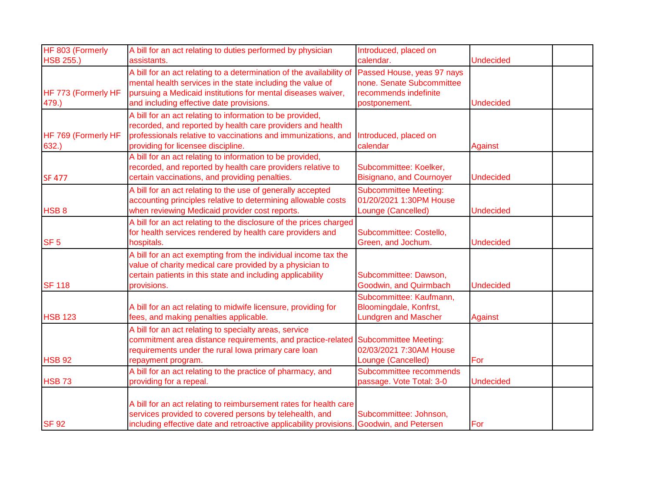| HF 803 (Formerly             | A bill for an act relating to duties performed by physician                                                                                                                                                                                    | Introduced, placed on                                                                             |                  |
|------------------------------|------------------------------------------------------------------------------------------------------------------------------------------------------------------------------------------------------------------------------------------------|---------------------------------------------------------------------------------------------------|------------------|
| <b>HSB 255.)</b>             | assistants.                                                                                                                                                                                                                                    | calendar.                                                                                         | <b>Undecided</b> |
| HF 773 (Formerly HF<br>479.) | A bill for an act relating to a determination of the availability of<br>mental health services in the state including the value of<br>pursuing a Medicaid institutions for mental diseases waiver,<br>and including effective date provisions. | Passed House, yeas 97 nays<br>none. Senate Subcommittee<br>recommends indefinite<br>postponement. | <b>Undecided</b> |
| HF 769 (Formerly HF<br>632.  | A bill for an act relating to information to be provided,<br>recorded, and reported by health care providers and health<br>professionals relative to vaccinations and immunizations, and<br>providing for licensee discipline.                 | Introduced, placed on<br>calendar                                                                 | Against          |
| <b>SF 477</b>                | A bill for an act relating to information to be provided,<br>recorded, and reported by health care providers relative to<br>certain vaccinations, and providing penalties.                                                                     | Subcommittee: Koelker,<br><b>Bisignano, and Cournoyer</b>                                         | <b>Undecided</b> |
| HSB <sub>8</sub>             | A bill for an act relating to the use of generally accepted<br>accounting principles relative to determining allowable costs<br>when reviewing Medicaid provider cost reports.                                                                 | <b>Subcommittee Meeting:</b><br>01/20/2021 1:30PM House<br>Lounge (Cancelled)                     | <b>Undecided</b> |
| SF <sub>5</sub>              | A bill for an act relating to the disclosure of the prices charged<br>for health services rendered by health care providers and<br>hospitals.                                                                                                  | Subcommittee: Costello,<br>Green, and Jochum.                                                     | <b>Undecided</b> |
| <b>SF 118</b>                | A bill for an act exempting from the individual income tax the<br>value of charity medical care provided by a physician to<br>certain patients in this state and including applicability<br>provisions.                                        | Subcommittee: Dawson,<br>Goodwin, and Quirmbach                                                   | <b>Undecided</b> |
| <b>HSB 123</b>               | A bill for an act relating to midwife licensure, providing for<br>fees, and making penalties applicable.                                                                                                                                       | Subcommittee: Kaufmann,<br>Bloomingdale, Konfrst,<br><b>Lundgren and Mascher</b>                  | <b>Against</b>   |
| <b>HSB 92</b>                | A bill for an act relating to specialty areas, service<br>commitment area distance requirements, and practice-related<br>requirements under the rural lowa primary care loan<br>repayment program.                                             | <b>Subcommittee Meeting:</b><br>02/03/2021 7:30AM House<br>Lounge (Cancelled)                     | For              |
| <b>HSB 73</b>                | A bill for an act relating to the practice of pharmacy, and<br>providing for a repeal.                                                                                                                                                         | Subcommittee recommends<br>passage. Vote Total: 3-0                                               | <b>Undecided</b> |
| <b>SF 92</b>                 | A bill for an act relating to reimbursement rates for health care<br>services provided to covered persons by telehealth, and<br>including effective date and retroactive applicability provisions. Goodwin, and Petersen                       | Subcommittee: Johnson,                                                                            | For              |